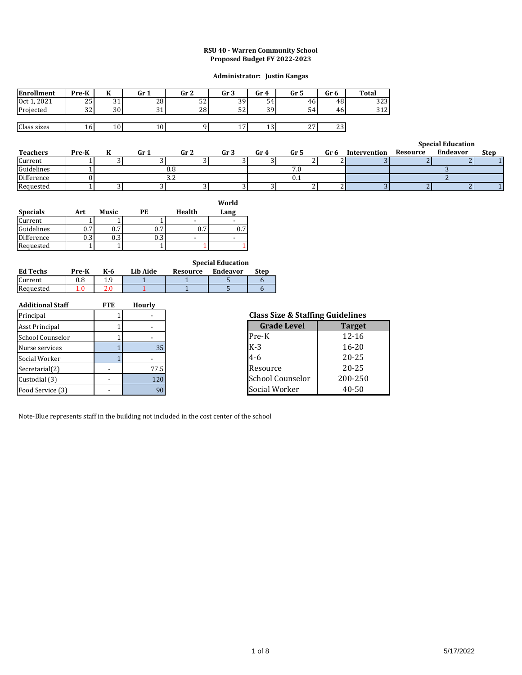#### **RSU 40 - Warren Community School Proposed Budget FY 2022-2023**

#### **Administrator: Justin Kangas**

| <b>Enrollment</b> | Pre-K     | <br>n          | Gr 1    | Gr <sub>2</sub> | Gr <sub>3</sub> | Gr 4      | Gr 5          | Gr 6          | <b>Total</b> |
|-------------------|-----------|----------------|---------|-----------------|-----------------|-----------|---------------|---------------|--------------|
| Oct 1, 2021       | 25        | $\sim$<br>ັບ ⊥ | 28      | r o<br>ے د      | 39              | 54        | 46            | 48            | າາາ<br>د ے د |
| Projected         | ົາ<br>ے د | 30             | 24<br>ັ | 28              | r o<br>ے ر      | 30<br>J - | 54            | 46            | 212<br>ے د   |
|                   |           |                |         |                 |                 |           |               |               |              |
| Class sizes       | 16        | 10             | 10      |                 | . .             | ⊥∪        | $\sim$<br>ـ ـ | $\sim$<br>ر ے |              |

|                 |       |      |                 |      |                 |      |      |              |          | <b>Special Education</b> |             |
|-----------------|-------|------|-----------------|------|-----------------|------|------|--------------|----------|--------------------------|-------------|
| <b>Teachers</b> | Pre-K | Gr 1 | Gr <sub>2</sub> | Gr 3 | Gr <sub>4</sub> | Gr 5 | Gr 6 | Intervention | Resource | Endeavor                 | <b>Step</b> |
| Current         |       |      |                 |      |                 |      |      |              |          |                          |             |
| Guidelines      |       |      | 8.8             |      |                 | 7.0  |      |              |          |                          |             |
| Difference      |       |      | ے ر             |      |                 | v.i  |      |              |          |                          |             |
| Requested       |       |      |                 |      |                 |      |      |              |          |                          |             |

| <b>Specials</b> | Art | Music | РE  | Health | World<br>Lang |
|-----------------|-----|-------|-----|--------|---------------|
| Current         |     |       |     |        |               |
| Guidelines      | 0.7 | 0.7   | 0.7 | 0.7    | 0.7           |
| Difference      | 0.3 | 0.3   | 0.3 |        |               |
| Requested       |     |       |     |        |               |

|                 |          |     |          |          | <b>Special Education</b> |      |
|-----------------|----------|-----|----------|----------|--------------------------|------|
| <b>Ed Techs</b> | Pre-K    | K-6 | Lib Aide | Resource | Endeavor                 | Step |
| Current         | $_{0.8}$ | 1.9 |          |          |                          |      |
| Requested       |          | 2.0 |          |          |                          |      |

| <b>Additional Staff</b> | <b>FTE</b> | Hourly |
|-------------------------|------------|--------|
| Principal               |            |        |
| Asst Principal          |            |        |
| School Counselor        |            |        |
| Nurse services          |            | 35     |
| Social Worker           |            |        |
| Secretarial(2)          |            | 77.5   |
| Custodial (3)           |            | 120    |
| Food Service (3)        |            | 91     |

# 1 - **Class Size & Staffing Guidelines**

| <b>Grade Level</b>      | <b>Target</b> |
|-------------------------|---------------|
| Pre-K                   | $12 - 16$     |
| $K-3$                   | $16 - 20$     |
| $4-6$                   | $20 - 25$     |
| Resource                | $20 - 25$     |
| <b>School Counselor</b> | 200-250       |
| Social Worker           | 40-50         |

Note-Blue represents staff in the building not included in the cost center of the school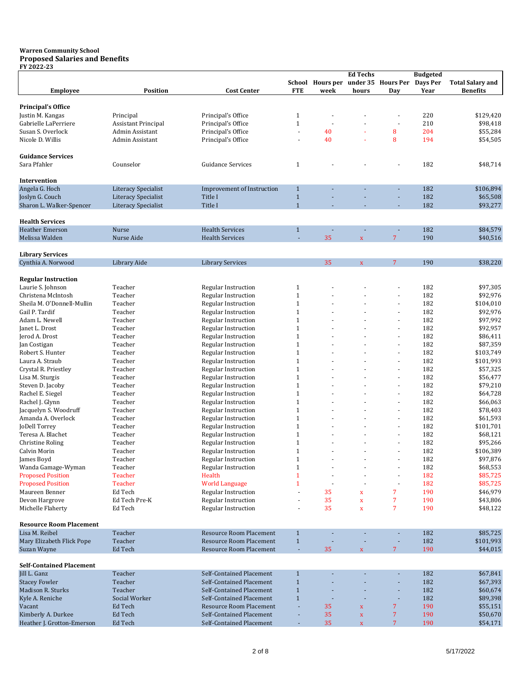#### **Warren Community School Proposed Salaries and Benefits FY 2022-23**

|                                 |                            |                                   |                |                                              | <b>Ed Techs</b>    |                | <b>Budgeted</b> |                         |
|---------------------------------|----------------------------|-----------------------------------|----------------|----------------------------------------------|--------------------|----------------|-----------------|-------------------------|
|                                 |                            |                                   |                | School Hours per under 35 Hours Per Days Per |                    |                |                 | <b>Total Salary and</b> |
| <b>Employee</b>                 | <b>Position</b>            | <b>Cost Center</b>                | <b>FTE</b>     | week                                         | hours              | Day            | Year            | <b>Benefits</b>         |
|                                 |                            |                                   |                |                                              |                    |                |                 |                         |
| <b>Principal's Office</b>       |                            |                                   |                |                                              |                    |                |                 |                         |
| Justin M. Kangas                | Principal                  | Principal's Office                | $\mathbf{1}$   |                                              |                    |                | 220             | \$129,420               |
| Gabrielle LaPerriere            | <b>Assistant Principal</b> | Principal's Office                | $\mathbf{1}$   |                                              |                    | ÷,             | 210             | \$98,418                |
| Susan S. Overlock               | Admin Assistant            | Principal's Office                | $\sim$         | 40                                           |                    | 8              | 204             | \$55,284                |
| Nicole D. Willis                | Admin Assistant            | Principal's Office                | $\sim$         | 40                                           |                    | 8              | 194             | \$54,505                |
|                                 |                            |                                   |                |                                              |                    |                |                 |                         |
|                                 |                            |                                   |                |                                              |                    |                |                 |                         |
| <b>Guidance Services</b>        |                            |                                   |                |                                              |                    |                |                 |                         |
| Sara Pfahler                    | Counselor                  | <b>Guidance Services</b>          | $\mathbf{1}$   |                                              |                    |                | 182             | \$48,714                |
|                                 |                            |                                   |                |                                              |                    |                |                 |                         |
| Intervention                    |                            |                                   |                |                                              |                    |                |                 |                         |
| Angela G. Hoch                  | Literacy Specialist        | <b>Improvement of Instruction</b> | $\mathbf{1}$   |                                              |                    |                | 182             | \$106,894               |
| Joslyn G. Couch                 | Literacy Specialist        | Title I                           | $1\,$          |                                              |                    |                | 182             | \$65,508                |
| Sharon L. Walker-Spencer        | <b>Literacy Specialist</b> | Title I                           | $\mathbf{1}$   |                                              |                    |                | 182             | \$93,277                |
|                                 |                            |                                   |                |                                              |                    |                |                 |                         |
| <b>Health Services</b>          |                            |                                   |                |                                              |                    |                |                 |                         |
| <b>Heather Emerson</b>          | Nurse                      | <b>Health Services</b>            | $\mathbf{1}$   |                                              |                    |                | 182             | \$84,579                |
| Melissa Walden                  | Nurse Aide                 | <b>Health Services</b>            |                | 35                                           | $\bar{\mathbf{X}}$ | $\overline{7}$ | 190             | \$40,516                |
|                                 |                            |                                   |                |                                              |                    |                |                 |                         |
| <b>Library Services</b>         |                            |                                   |                |                                              |                    |                |                 |                         |
| Cynthia A. Norwood              | Library Aide               | <b>Library Services</b>           |                | 35                                           | $\mathbf x$        | $\overline{7}$ | 190             | \$38,220                |
|                                 |                            |                                   |                |                                              |                    |                |                 |                         |
| <b>Regular Instruction</b>      |                            |                                   |                |                                              |                    |                |                 |                         |
| Laurie S. Johnson               | Teacher                    | Regular Instruction               | $\mathbf{1}$   |                                              |                    |                | 182             | \$97,305                |
| Christena McIntosh              | Teacher                    | Regular Instruction               | $\mathbf{1}$   |                                              |                    |                | 182             | \$92,976                |
|                                 |                            |                                   | $\mathbf{1}$   |                                              |                    | ä,             | 182             |                         |
| Sheila M. O'Donnell-Mullin      | Teacher                    | <b>Regular Instruction</b>        |                |                                              |                    |                |                 | \$104,010               |
| Gail P. Tardif                  | Teacher                    | <b>Regular Instruction</b>        | $\mathbf{1}$   |                                              |                    | ÷              | 182             | \$92,976                |
| Adam L. Newell                  | Teacher                    | Regular Instruction               | $\mathbf{1}$   |                                              |                    |                | 182             | \$97,992                |
| Janet L. Drost                  | Teacher                    | Regular Instruction               | $\mathbf{1}$   |                                              |                    | $\frac{1}{2}$  | 182             | \$92,957                |
| Jerod A. Drost                  | Teacher                    | <b>Regular Instruction</b>        | $\mathbf{1}$   |                                              |                    |                | 182             | \$86,411                |
| Jan Costigan                    | Teacher                    | Regular Instruction               | $\mathbf{1}$   |                                              |                    | ä,             | 182             | \$87,359                |
| Robert S. Hunter                | Teacher                    | <b>Regular Instruction</b>        | $\mathbf{1}$   |                                              |                    | ÷              | 182             | \$103,749               |
| Laura A. Straub                 | Teacher                    | Regular Instruction               | $\mathbf{1}$   |                                              |                    | ä,             | 182             | \$101,993               |
| Crystal R. Priestley            | Teacher                    | Regular Instruction               | $\mathbf{1}$   |                                              |                    | ÷              | 182             | \$57,325                |
| Lisa M. Sturgis                 | Teacher                    | Regular Instruction               | $\mathbf{1}$   |                                              |                    |                | 182             | \$56,477                |
| Steven D. Jacoby                | Teacher                    | Regular Instruction               | $\mathbf{1}$   |                                              |                    | ä,             | 182             | \$79,210                |
| Rachel E. Siegel                | Teacher                    | <b>Regular Instruction</b>        | $\mathbf{1}$   |                                              |                    | ÷              | 182             | \$64,728                |
| Rachel J. Glynn                 | Teacher                    | Regular Instruction               | $\mathbf{1}$   |                                              |                    | ä,             | 182             | \$66,063                |
| Jacquelyn S. Woodruff           | Teacher                    | Regular Instruction               | $\mathbf{1}$   |                                              |                    | $\blacksquare$ | 182             | \$78,403                |
| Amanda A. Overlock              | Teacher                    | Regular Instruction               | $\mathbf{1}$   |                                              |                    |                | 182             | \$61,593                |
| JoDell Torrey                   | Teacher                    | Regular Instruction               | $\mathbf{1}$   |                                              |                    | ä,             | 182             | \$101,701               |
| Teresa A. Blachet               | Teacher                    | Regular Instruction               | $\mathbf{1}$   |                                              |                    | ÷              | 182             | \$68,121                |
| <b>Christine Roling</b>         | Teacher                    | <b>Regular Instruction</b>        | $\mathbf{1}$   |                                              |                    | ä,             | 182             | \$95,266                |
|                                 |                            |                                   | $\mathbf{1}$   |                                              |                    |                | 182             |                         |
| Calvin Morin                    | Teacher                    | Regular Instruction               |                |                                              |                    |                |                 | \$106,389               |
| James Boyd                      | Teacher                    | Regular Instruction               | $\mathbf{1}$   |                                              |                    |                | 182             | \$97,876                |
| Wanda Gamage-Wyman              | Teacher                    | <b>Regular Instruction</b>        | $\mathbf{1}$   |                                              |                    |                | 182             | \$68,553                |
| <b>Proposed Position</b>        | Teacher                    | Health                            | $\mathbf{1}$   |                                              |                    |                | 182             | \$85,725                |
| <b>Proposed Position</b>        | Teacher                    | <b>World Language</b>             | $\mathbf{1}$   |                                              |                    |                | 182             | \$85,725                |
| Maureen Benner                  | Ed Tech                    | Regular Instruction               |                | 35                                           | $\mathbf x$        | 7              | 190             | \$46,979                |
| Devon Hargrove                  | Ed Tech Pre-K              | <b>Regular Instruction</b>        |                | 35                                           | $\mathbf x$        | 7              | 190             | \$43,806                |
| Michelle Flaherty               | Ed Tech                    | Regular Instruction               | $\blacksquare$ | 35                                           | $\mathbf x$        | 7              | 190             | \$48,122                |
|                                 |                            |                                   |                |                                              |                    |                |                 |                         |
| <b>Resource Room Placement</b>  |                            |                                   |                |                                              |                    |                |                 |                         |
| Lisa M. Reibel                  | Teacher                    | Resource Room Placement           | $\mathbf{1}$   |                                              |                    |                | 182             | \$85,725                |
| Mary Elizabeth Flick Pope       | Teacher                    | <b>Resource Room Placement</b>    | $1\,$          |                                              |                    |                | 182             | \$101,993               |
| Suzan Wayne                     | Ed Tech                    | <b>Resource Room Placement</b>    | $\Box$         | 35                                           | $\mathbf X$        | $\overline{7}$ | 190             | \$44,015                |
|                                 |                            |                                   |                |                                              |                    |                |                 |                         |
| <b>Self-Contained Placement</b> |                            |                                   |                |                                              |                    |                |                 |                         |
| Jill L. Ganz                    | Teacher                    | Self-Contained Placement          | $\mathbf{1}$   |                                              |                    |                | 182             | \$67,841                |
| <b>Stacey Fowler</b>            | Teacher                    | Self-Contained Placement          | $1\,$          |                                              |                    |                | 182             |                         |
|                                 |                            |                                   |                |                                              |                    |                |                 | \$67,393                |
| Madison R. Sturks               | Teacher                    | Self-Contained Placement          | $1\,$          |                                              |                    | ٠              | 182             | \$60,674                |
| Kyle A. Reniche                 | Social Worker              | Self-Contained Placement          | $\mathbf{1}$   |                                              |                    | ÷,             | 182             | \$89,398                |
| Vacant                          | Ed Tech                    | Resource Room Placement           |                | 35                                           | $\mathbf x$        | 7              | 190             | \$55,151                |
| Kimberly A. Durkee              | Ed Tech                    | Self-Contained Placement          | $\sim$         | 35                                           | $\mathbf x$        | 7              | 190             | \$50,670                |
| Heather J. Grotton-Emerson      | Ed Tech                    | Self-Contained Placement          |                | 35                                           | $\mathbf X$        | $\overline{7}$ | 190             | \$54,171                |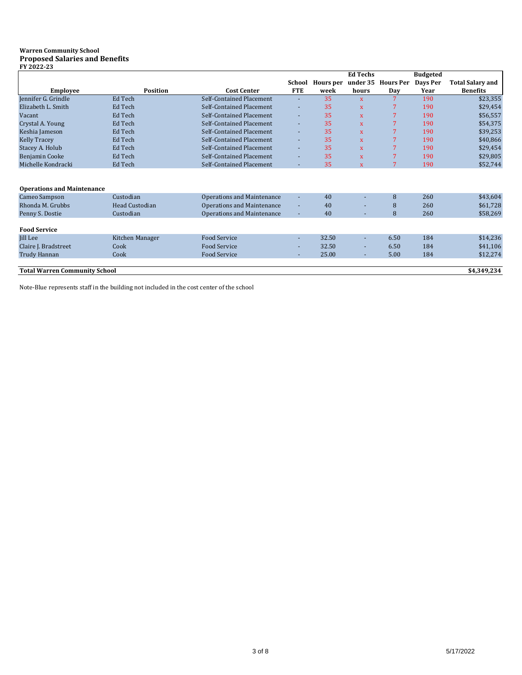#### **Warren Community School Proposed Salaries and Benefits FY 2022-23**

|                                      |                       |                                   |            |                  | <b>Ed Techs</b>         |                  | <b>Budgeted</b> |                         |
|--------------------------------------|-----------------------|-----------------------------------|------------|------------------|-------------------------|------------------|-----------------|-------------------------|
|                                      |                       |                                   | School     | <b>Hours</b> per | under 35                | <b>Hours Per</b> | Days Per        | <b>Total Salary and</b> |
| <b>Employee</b>                      | <b>Position</b>       | <b>Cost Center</b>                | <b>FTE</b> | week             | hours                   | Day              | Year            | <b>Benefits</b>         |
| Jennifer G. Grindle                  | Ed Tech               | Self-Contained Placement          | $\sim$     | 35               | $\overline{\mathbf{x}}$ | 7                | 190             | \$23,355                |
| Elizabeth L. Smith                   | Ed Tech               | Self-Contained Placement          | ٠          | 35               | $\mathbf{x}$            | 7                | 190             | \$29,454                |
| Vacant                               | Ed Tech               | Self-Contained Placement          | $\sim$     | 35               | $\mathbf{x}$            | 7                | 190             | \$56,557                |
| Crystal A. Young                     | Ed Tech               | Self-Contained Placement          | $\sim$     | 35               | $\mathbf{x}$            | 7                | 190             | \$54,375                |
| Keshia Jameson                       | Ed Tech               | Self-Contained Placement          | $\sim$     | 35               | $\mathbf{x}$            | 7                | 190             | \$39,253                |
| <b>Kelly Tracey</b>                  | Ed Tech               | Self-Contained Placement          | $\sim$     | 35               | $\mathbf{x}$            | 7                | 190             | \$40,866                |
| Stacey A. Holub                      | Ed Tech               | Self-Contained Placement          | $\sim$     | 35               | $\mathbf{x}$            | 7                | 190             | \$29,454                |
| Benjamin Cooke                       | Ed Tech               | Self-Contained Placement          | $\sim$     | 35               | $\mathbf{x}$            | 7                | 190             | \$29,805                |
| Michelle Kondracki                   | Ed Tech               | Self-Contained Placement          | ÷          | 35               | $\mathbf{x}$            | 7                | 190             | \$52,744                |
|                                      |                       |                                   |            |                  |                         |                  |                 |                         |
| <b>Operations and Maintenance</b>    |                       |                                   |            |                  |                         |                  |                 |                         |
| Cameo Sampson                        | Custodian             | <b>Operations and Maintenance</b> | $\sim$     | 40               |                         | 8                | 260             | \$43,604                |
| Rhonda M. Grubbs                     | <b>Head Custodian</b> | <b>Operations and Maintenance</b> | ٠          | 40               |                         | 8                | 260             | \$61,728                |
| Penny S. Dostie                      | Custodian             | <b>Operations and Maintenance</b> | $\sim$     | 40               | ÷                       | 8                | 260             | \$58,269                |
|                                      |                       |                                   |            |                  |                         |                  |                 |                         |
| <b>Food Service</b>                  |                       |                                   |            |                  |                         |                  |                 |                         |
| Jill Lee                             | Kitchen Manager       | <b>Food Service</b>               | $\sim$     | 32.50            | ٠                       | 6.50             | 184             | \$14,236                |
| Claire J. Bradstreet                 | Cook                  | Food Service                      | ۰.         | 32.50            | ٠                       | 6.50             | 184             | \$41,106                |
| Trudy Hannan                         | Cook                  | Food Service                      | ÷          | 25.00            | ÷                       | 5.00             | 184             | \$12,274                |
|                                      |                       |                                   |            |                  |                         |                  |                 |                         |
| <b>Total Warren Community School</b> |                       |                                   |            |                  |                         |                  |                 | \$4,349,234             |

Note-Blue represents staff in the building not included in the cost center of the school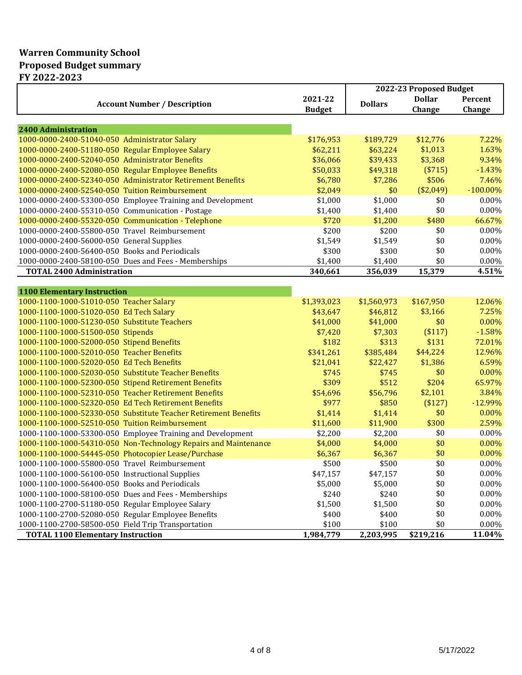## **Warren Community School Proposed Budget summary**

|                                                                 |               |                | 2022-23 Proposed Budget |             |
|-----------------------------------------------------------------|---------------|----------------|-------------------------|-------------|
|                                                                 | 2021-22       |                | <b>Dollar</b>           | Percent     |
| <b>Account Number / Description</b>                             | <b>Budget</b> | <b>Dollars</b> | Change                  | Change      |
|                                                                 |               |                |                         |             |
| <b>2400 Administration</b>                                      |               |                |                         |             |
| 1000-0000-2400-51040-050 Administrator Salary                   | \$176,953     | \$189,729      | \$12,776                | 7.22%       |
| 1000-0000-2400-51180-050 Regular Employee Salary                | \$62,211      | \$63,224       | \$1,013                 | 1.63%       |
| 1000-0000-2400-52040-050 Administrator Benefits                 | \$36,066      | \$39,433       | \$3,368                 | 9.34%       |
| 1000-0000-2400-52080-050 Regular Employee Benefits              | \$50,033      | \$49,318       | (\$715)                 | $-1.43%$    |
| 1000-0000-2400-52340-050 Administrator Retirement Benefits      | \$6,780       | \$7,286        | \$506                   | 7.46%       |
| 1000-0000-2400-52540-050 Tuition Reimbursement                  | \$2,049       | \$0            | (\$2,049)               | $-100.00\%$ |
| 1000-0000-2400-53300-050 Employee Training and Development      | \$1,000       | \$1,000        | \$0                     | 0.00%       |
| 1000-0000-2400-55310-050 Communication - Postage                | \$1,400       | \$1,400        | \$0                     | 0.00%       |
| 1000-0000-2400-55320-050 Communication - Telephone              | \$720         | \$1,200        | \$480                   | 66.67%      |
| 1000-0000-2400-55800-050 Travel Reimbursement                   | \$200         | \$200          | \$0                     | 0.00%       |
| 1000-0000-2400-56000-050 General Supplies                       | \$1,549       | \$1,549        | \$0                     | 0.00%       |
| 1000-0000-2400-56400-050 Books and Periodicals                  | \$300         | \$300          | \$0                     | 0.00%       |
| 1000-0000-2400-58100-050 Dues and Fees - Memberships            | \$1,400       | \$1,400        | \$0                     | 0.00%       |
| <b>TOTAL 2400 Administration</b>                                | 340,661       | 356,039        | 15,379                  | 4.51%       |
|                                                                 |               |                |                         |             |
| <b>1100 Elementary Instruction</b>                              |               |                |                         |             |
| 1000-1100-1000-51010-050 Teacher Salary                         | \$1,393,023   | \$1,560,973    | \$167,950               | 12.06%      |
| 1000-1100-1000-51020-050 Ed Tech Salary                         | \$43,647      | \$46,812       | \$3,166                 | 7.25%       |
| 1000-1100-1000-51230-050 Substitute Teachers                    | \$41,000      | \$41,000       | \$0                     | 0.00%       |
| 1000-1100-1000-51500-050 Stipends                               | \$7,420       | \$7,303        | (\$117)                 | $-1.58%$    |
| 1000-1100-1000-52000-050 Stipend Benefits                       | \$182         | \$313          | \$131                   | 72.01%      |
| 1000-1100-1000-52010-050 Teacher Benefits                       | \$341,261     | \$385,484      | \$44,224                | 12.96%      |
| 1000-1100-1000-52020-050 Ed Tech Benefits                       | \$21,041      | \$22,427       | \$1,386                 | 6.59%       |
| 1000-1100-1000-52030-050 Substitute Teacher Benefits            | \$745         | \$745          | \$0                     | 0.00%       |
| 1000-1100-1000-52300-050 Stipend Retirement Benefits            | \$309         | \$512          | \$204                   | 65.97%      |
| 1000-1100-1000-52310-050 Teacher Retirement Benefits            | \$54,696      | \$56,796       | \$2,101                 | 3.84%       |
| 1000-1100-1000-52320-050 Ed Tech Retirement Benefits            | \$977         | \$850          | (\$127)                 | -12.99%     |
| 1000-1100-1000-52330-050 Substitute Teacher Retirement Benefits | \$1,414       | \$1,414        | \$0                     | 0.00%       |
| 1000-1100-1000-52510-050 Tuition Reimbursement                  | \$11,600      | \$11,900       | \$300                   | 2.59%       |
| 1000-1100-1000-53300-050 Employee Training and Development      | \$2,200       | \$2,200        | \$0                     | 0.00%       |
| 1000-1100-1000-54310-050 Non-Technology Repairs and Maintenance | \$4,000       | \$4,000        | \$0                     | 0.00%       |
| 1000-1100-1000-54445-050 Photocopier Lease/Purchase             | \$6,367       | \$6,367        | \$0                     | 0.00%       |
| 1000-1100-1000-55800-050 Travel Reimbursement                   | \$500         | \$500          | \$0                     | 0.00%       |
| 1000-1100-1000-56100-050 Instructional Supplies                 | \$47,157      | \$47,157       | \$0                     | 0.00%       |
| 1000-1100-1000-56400-050 Books and Periodicals                  | \$5,000       | \$5,000        | \$0                     | 0.00%       |
| 1000-1100-1000-58100-050 Dues and Fees - Memberships            | \$240         | \$240          | \$0                     | 0.00%       |
| 1000-1100-2700-51180-050 Regular Employee Salary                | \$1,500       | \$1,500        | \$0                     | 0.00%       |
| 1000-1100-2700-52080-050 Regular Employee Benefits              | \$400         | \$400          | \$0                     | 0.00%       |
| 1000-1100-2700-58500-050 Field Trip Transportation              | \$100         | \$100          | \$0                     | 0.00%       |
| <b>TOTAL 1100 Elementary Instruction</b>                        | 1,984,779     | 2,203,995      | \$219,216               | 11.04%      |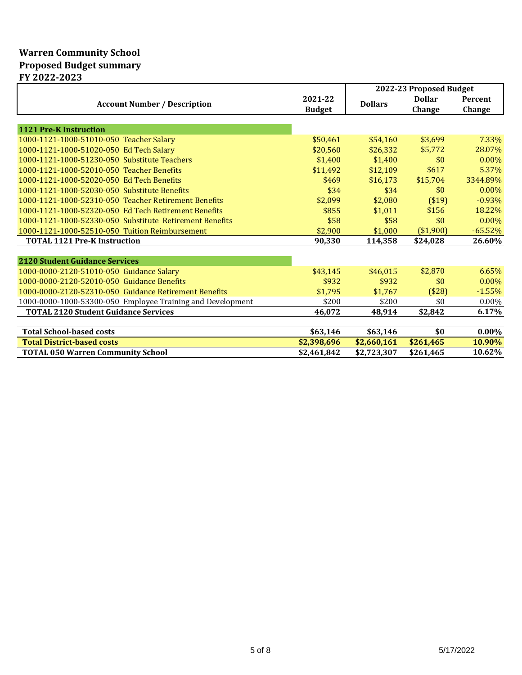## **Warren Community School Proposed Budget summary**

| FY 2022-2023                                               |               |                |                         |           |
|------------------------------------------------------------|---------------|----------------|-------------------------|-----------|
|                                                            |               |                | 2022-23 Proposed Budget |           |
| <b>Account Number / Description</b>                        | 2021-22       | <b>Dollars</b> | <b>Dollar</b>           | Percent   |
|                                                            | <b>Budget</b> |                | Change                  | Change    |
|                                                            |               |                |                         |           |
| <b>1121 Pre-K Instruction</b>                              |               |                |                         |           |
| 1000-1121-1000-51010-050 Teacher Salary                    | \$50,461      | \$54,160       | \$3,699                 | 7.33%     |
| 1000-1121-1000-51020-050 Ed Tech Salary                    | \$20,560      | \$26,332       | \$5,772                 | 28.07%    |
| 1000-1121-1000-51230-050 Substitute Teachers               | \$1,400       | \$1,400        | \$0                     | $0.00\%$  |
| 1000-1121-1000-52010-050 Teacher Benefits                  | \$11,492      | \$12,109       | \$617                   | 5.37%     |
| 1000-1121-1000-52020-050 Ed Tech Benefits                  | \$469         | \$16.173       | \$15,704                | 3344.89%  |
| 1000-1121-1000-52030-050 Substitute Benefits               | \$34          | \$34           | \$0                     | $0.00\%$  |
| 1000-1121-1000-52310-050 Teacher Retirement Benefits       | \$2,099       | \$2,080        | \$19]                   | $-0.93%$  |
| 1000-1121-1000-52320-050 Ed Tech Retirement Benefits       | \$855         | \$1,011        | \$156                   | 18.22%    |
| 1000-1121-1000-52330-050 Substitute Retirement Benefits    | \$58          | \$58           | \$0                     | $0.00\%$  |
| 1000-1121-1000-52510-050 Tuition Reimbursement             | \$2,900       | \$1,000        | (\$1,900)               | $-65.52%$ |
| <b>TOTAL 1121 Pre-K Instruction</b>                        | 90,330        | 114,358        | \$24,028                | 26.60%    |
|                                                            |               |                |                         |           |
| <b>2120 Student Guidance Services</b>                      |               |                |                         |           |
| 1000-0000-2120-51010-050 Guidance Salary                   | \$43,145      | \$46,015       | \$2,870                 | 6.65%     |
| 1000-0000-2120-52010-050 Guidance Benefits                 | \$932         | \$932          | \$0                     | $0.00\%$  |
| 1000-0000-2120-52310-050 Guidance Retirement Benefits      | \$1,795       | \$1,767        | (\$28)                  | $-1.55%$  |
| 1000-0000-1000-53300-050 Employee Training and Development | \$200         | \$200          | \$0                     | 0.00%     |
| <b>TOTAL 2120 Student Guidance Services</b>                | 46,072        | 48,914         | \$2,842                 | 6.17%     |
|                                                            |               |                |                         |           |
| <b>Total School-based costs</b>                            | \$63,146      | \$63,146       | \$0                     | $0.00\%$  |
| <b>Total District-based costs</b>                          | \$2,398,696   | \$2,660,161    | \$261,465               | 10.90%    |
| <b>TOTAL 050 Warren Community School</b>                   | \$2,461,842   | \$2,723,307    | \$261,465               | 10.62%    |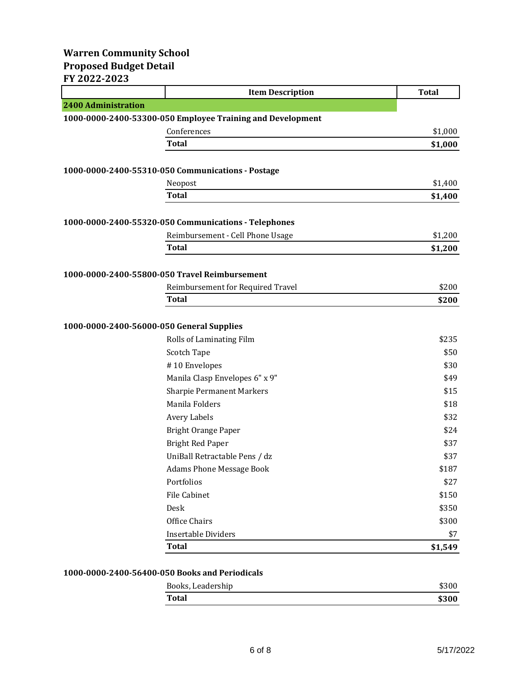### **Warren Community School Proposed Budget Detail FY 2022-2023**

|                                               | <b>Item Description</b>                                    | <b>Total</b> |
|-----------------------------------------------|------------------------------------------------------------|--------------|
| <b>2400 Administration</b>                    |                                                            |              |
|                                               | 1000-0000-2400-53300-050 Employee Training and Development |              |
|                                               | Conferences                                                | \$1,000      |
|                                               | <b>Total</b>                                               | \$1,000      |
|                                               |                                                            |              |
|                                               | 1000-0000-2400-55310-050 Communications - Postage          |              |
|                                               | Neopost                                                    | \$1,400      |
|                                               | <b>Total</b>                                               | \$1,400      |
|                                               |                                                            |              |
|                                               | 1000-0000-2400-55320-050 Communications - Telephones       |              |
|                                               | Reimbursement - Cell Phone Usage                           | \$1,200      |
|                                               | Total                                                      | \$1,200      |
|                                               |                                                            |              |
| 1000-0000-2400-55800-050 Travel Reimbursement |                                                            |              |
|                                               | Reimbursement for Required Travel                          | \$200        |
|                                               | Total                                                      | \$200        |
|                                               |                                                            |              |
| 1000-0000-2400-56000-050 General Supplies     |                                                            |              |
|                                               | Rolls of Laminating Film                                   | \$235        |
|                                               | Scotch Tape                                                | \$50         |
|                                               | #10 Envelopes                                              | \$30         |
|                                               | Manila Clasp Envelopes 6" x 9"                             | \$49         |
|                                               | <b>Sharpie Permanent Markers</b>                           | \$15         |
|                                               | Manila Folders                                             | \$18         |
|                                               | Avery Labels                                               | \$32         |
|                                               | <b>Bright Orange Paper</b>                                 | \$24         |
|                                               | <b>Bright Red Paper</b>                                    | \$37         |
|                                               | UniBall Retractable Pens / dz                              | \$37         |
|                                               | <b>Adams Phone Message Book</b>                            | \$187        |
|                                               | Portfolios                                                 | \$27         |
|                                               | File Cabinet                                               | \$150        |
|                                               | Desk                                                       | \$350        |
|                                               | Office Chairs                                              | \$300        |
|                                               | <b>Insertable Dividers</b>                                 | \$7          |
|                                               | <b>Total</b>                                               | \$1,549      |

### **1000-0000-2400-56400-050 Books and Periodicals**

| Books, Leadership |       |
|-------------------|-------|
| <b>Total</b>      | \$300 |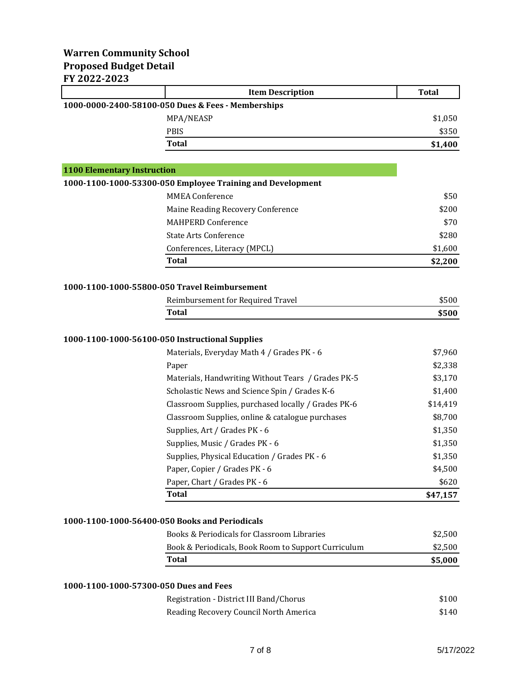### **Warren Community School Proposed Budget Detail FY 2022-2023**

|                                                 | <b>Item Description</b>                                    | <b>Total</b> |
|-------------------------------------------------|------------------------------------------------------------|--------------|
|                                                 | 1000-0000-2400-58100-050 Dues & Fees - Memberships         |              |
|                                                 | MPA/NEASP                                                  | \$1,050      |
|                                                 | <b>PBIS</b>                                                | \$350        |
|                                                 | <b>Total</b>                                               | \$1,400      |
|                                                 |                                                            |              |
| <b>1100 Elementary Instruction</b>              |                                                            |              |
|                                                 | 1000-1100-1000-53300-050 Employee Training and Development |              |
|                                                 | <b>MMEA Conference</b>                                     | \$50         |
|                                                 | Maine Reading Recovery Conference                          | \$200        |
|                                                 | <b>MAHPERD Conference</b>                                  | \$70         |
|                                                 | <b>State Arts Conference</b>                               | \$280        |
|                                                 | Conferences, Literacy (MPCL)                               | \$1,600      |
|                                                 | <b>Total</b>                                               | \$2,200      |
|                                                 | 1000-1100-1000-55800-050 Travel Reimbursement              |              |
|                                                 | Reimbursement for Required Travel                          | \$500        |
|                                                 | <b>Total</b>                                               | \$500        |
|                                                 |                                                            |              |
| 1000-1100-1000-56100-050 Instructional Supplies |                                                            |              |
|                                                 | Materials, Everyday Math 4 / Grades PK - 6                 | \$7,960      |
|                                                 | Paper                                                      | \$2,338      |
|                                                 | Materials, Handwriting Without Tears / Grades PK-5         | \$3,170      |
|                                                 | Scholastic News and Science Spin / Grades K-6              | \$1,400      |
|                                                 | Classroom Supplies, purchased locally / Grades PK-6        | \$14,419     |
|                                                 | Classroom Supplies, online & catalogue purchases           | \$8,700      |
|                                                 | Supplies, Art / Grades PK - 6                              | \$1,350      |
|                                                 | Supplies, Music / Grades PK - 6                            | \$1,350      |
|                                                 | Supplies, Physical Education / Grades PK - 6               | \$1,350      |
|                                                 | Paper, Copier / Grades PK - 6                              | \$4,500      |
|                                                 | Paper, Chart / Grades PK - 6                               | \$620        |
|                                                 | <b>Total</b>                                               | \$47,157     |
|                                                 |                                                            |              |
| 1000-1100-1000-56400-050 Books and Periodicals  |                                                            |              |
|                                                 | Books & Periodicals for Classroom Libraries                | \$2,500      |
|                                                 | Book & Periodicals, Book Room to Support Curriculum        | \$2,500      |
|                                                 | <b>Total</b>                                               | \$5,000      |
|                                                 |                                                            |              |
| 1000-1100-1000-57300-050 Dues and Fees          |                                                            |              |
|                                                 | Registration - District III Band/Chorus                    | \$100        |
|                                                 | Reading Recovery Council North America                     | \$140        |